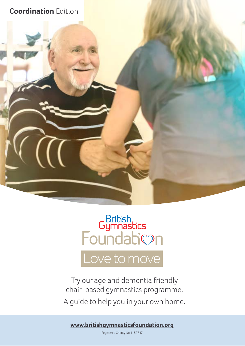

# British<br>Foundabion

Love to move

Try our age and dementia friendly chair-based gymnastics programme. A guide to help you in your own home.

**www.britishgymnasticsfoundation.org**

Registered Charity No 1157747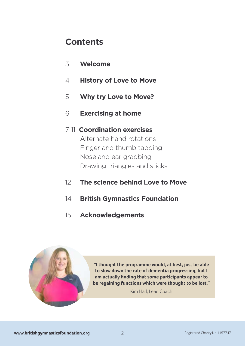## **Contents**

- 3 **Welcome**
- 4 **History of Love to Move**
- 5 **Why try Love to Move?**
- 6 **Exercising at home**

#### 7-11 **Coordination exercises**

Alternate hand rotations Finger and thumb tapping Nose and ear grabbing Drawing triangles and sticks

- 12 **The science behind Love to Move**
- 14 **British Gymnastics Foundation**
- 15 **Acknowledgements**



**"I thought the programme would, at best, just be able to slow down the rate of dementia progressing, but I am actually fnding that some participants appear to be regaining functions which were thought to be lost."** 

Kim Hall, Lead Coach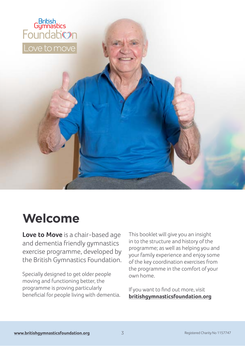

## **Welcome**

**Love to Move** is a chair-based age and dementia friendly gymnastics exercise programme, developed by the British Gymnastics Foundation.

Specially designed to get older people moving and functioning better, the programme is proving particularly benefcial for people living with dementia. This booklet will give you an insight in to the structure and history of the programme; as well as helping you and your family experience and enjoy some of the key coordination exercises from the programme in the comfort of your own home.

If you want to fnd out more, visit **britishgymnasticsfoundation.org**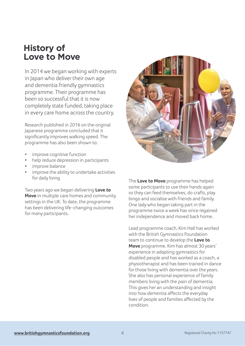## **History of Love to Move**

In 2014 we began working with experts in Japan who deliver their own age and dementia friendly gymnastics programme. Their programme has been so successful that it is now completely state funded, taking place in every care home across the country.

Research published in 2016 on the original Japanese programme concluded that it signifcantly improves walking speed. The programme has also been shown to:

- improve cognitive function
- help reduce depression in participants
- improve balance
- improve the ability to undertake activities for daily living

Two years ago we began delivering **Love to Move** in multiple care homes and community settings in the UK. To date, the programme has been delivering life-changing outcomes for many participants.



The **Love to Move** programme has helped some participants to use their hands again so they can feed themselves, do crafts, play bingo and socialise with friends and family. One lady who began taking part in the programme twice a week has since regained her independence and moved back home.

Lead programme coach, Kim Hall has worked with the British Gymnastics Foundation team to continue to develop the **Love to Move** programme. Kim has almost 30 years' experience in adapting gymnastics for disabled people and has worked as a coach, a physiotherapist and has been trained in dance for those living with dementia over the years. She also has personal experience of family members living with the pain of dementia. This gives her an understanding and insight into how dementia afects the everyday lives of people and families afected by the condition.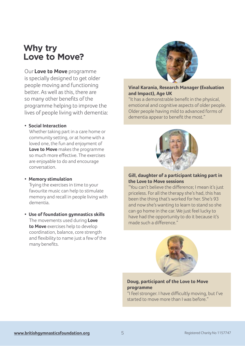## **Why try Love to Move?**

Our **Love to Move** programme is specially designed to get older people moving and functioning better. As well as this, there are so many other benefts of the programme helping to improve the lives of people living with dementia:

#### **• Social Interaction**

Whether taking part in a care home or community setting, or at home with a loved one, the fun and enjoyment of **Love to Move** makes the programme so much more efective. The exercises are enjoyable to do and encourage conversation.

#### **• Memory stimulation**

Trying the exercises in time to your favourite music can help to stimulate memory and recall in people living with dementia.

**• Use of foundation gymnastics skills** The movements used during **Love to Move** exercises help to develop coordination, balance, core strength and fexibility to name just a few of the many benefts.



#### **Vinal Karania, Research Manager (Evaluation and Impact), Age UK**

"It has a demonstrable beneft in the physical, emotional and cognitive aspects of older people. Older people having mild to advanced forms of dementia appear to beneft the most."



#### **Gill, daughter of a participant taking part in the Love to Move sessions**

"You can't believe the diference; I mean it's just priceless. For all the therapy she's had, this has been the thing that's worked for her. She's 93 and now she's wanting to learn to stand so she can go home in the car. We just feel lucky to have had the opportunity to do it because it's made such a diference."



#### **Doug, participant of the Love to Move programme**

"I feel stronger. I have difficultly moving, but I've started to move more than I was before."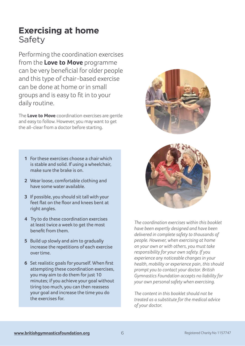## **Exercising at home** Safety

Performing the coordination exercises from the **Love to Move** programme can be very benefcial for older people and this type of chair-based exercise can be done at home or in small groups and is easy to ft in to your daily routine.

The **Love to Move** coordination exercises are gentle and easy to follow. However, you may want to get the all-clear from a doctor before starting.

- **1** For these exercises choose a chair which is stable and solid. If using a wheelchair, make sure the brake is on.
- **2** Wear loose, comfortable clothing and have some water available.
- **3** If possible, you should sit tall with your feet fat on the foor and knees bent at right angles.
- **4** Try to do these coordination exercises at least twice a week to get the most beneft from them.
- **5** Build up slowly and aim to gradually increase the repetitions of each exercise over time.
- **6** Set realistic goals for yourself. When frst attempting these coordination exercises, you may aim to do them for just 10 minutes; if you achieve your goal without tiring too much, you can then reassess your goal and increase the time you do the exercises for.





*The coordination exercises within this booklet have been expertly designed and have been delivered in complete safety to thousands of people. However, when exercising at home on your own or with others, you must take responsibility for your own safety. If you experience any noticeable changes in your health, mobility or experience pain, this should prompt you to contact your doctor. British Gymnastics Foundation accepts no liability for your own personal safety when exercising.*

*The content in this booklet should not be treated as a substitute for the medical advice of your doctor.*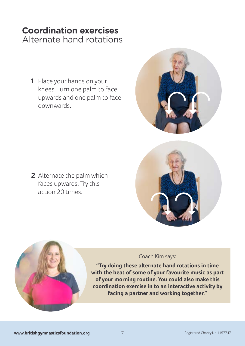### **Coordination exercises** Alternate hand rotations

- **1** Place your hands on your knees. Turn one palm to face upwards and one palm to face downwards.
- 

**2** Alternate the palm which faces upwards. Try this action 20 times.



## Coach Kim says:

**"Try doing these alternate hand rotations in time with the beat of some of your favourite music as part of your morning routine. You could also make this coordination exercise in to an interactive activity by facing a partner and working together."**

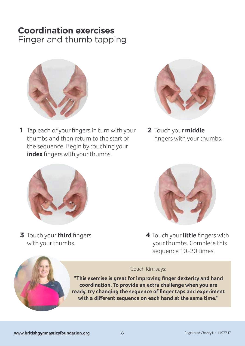## **Coordination exercises**

Finger and thumb tapping



**1** Tap each of your fngers in turn with your thumbs and then return to the start of the sequence. Begin by touching your **index** fingers with your thumbs.



**2** Touch your **middle** fngers with your thumbs.



**3** Touch your **third** fngers with your thumbs.



**4** Touch your **little** fngers with your thumbs. Complete this sequence 10-20 times.

#### Coach Kim says:

**"This exercise is great for improving fnger dexterity and hand coordination. To provide an extra challenge when you are ready, try changing the sequence of fnger taps and experiment with a diferent sequence on each hand at the same time."**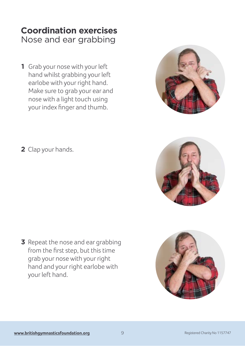### **Coordination exercises** Nose and ear grabbing

**1** Grab your nose with your left hand whilst grabbing your left earlobe with your right hand. Make sure to grab your ear and nose with a light touch using your index fnger and thumb.



**2** Clap your hands.





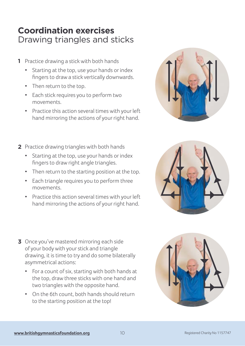## **Coordination exercises** Drawing triangles and sticks

- Practice drawing a stick with both hands **1**
	- Starting at the top, use your hands or index fngers to draw a stick vertically downwards.
	- Then return to the top.
	- Each stick requires you to perform two movements.
	- Practice this action several times with your left hand mirroring the actions of your right hand.
- 2 Practice drawing triangles with both hands
	- Starting at the top, use your hands or index fngers to draw right angle triangles.
	- Then return to the starting position at the top.
	- Each triangle requires you to perform three movements.
	- Practice this action several times with your left hand mirroring the actions of your right hand.
- Once you've mastered mirroring each side **3**of your body with your stick and triangle drawing, it is time to try and do some bilaterally asymmetrical actions:
	- For a count of six, starting with both hands at the top, draw three sticks with one hand and two triangles with the opposite hand.
	- On the 6th count, both hands should return to the starting position at the top!





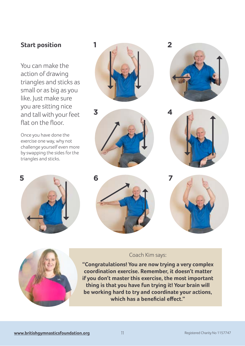#### **Start position 1 2**

You can make the action of drawing triangles and sticks as small or as big as you like. Just make sure you are sitting nice and tall with your feet flat on the floor.

Once you have done the exercise one way, why not challenge yourself even more by swapping the sides for the triangles and sticks.













#### Coach Kim says:

**"Congratulations! You are now trying a very complex coordination exercise. Remember, it doesn't matter if you don't master this exercise, the most important thing is that you have fun trying it! Your brain will be working hard to try and coordinate your actions, which has a benefcial efect."**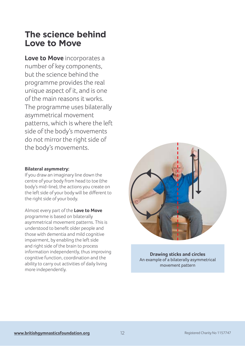## **The science behind Love to Move**

**Love to Move** incorporates a number of key components, but the science behind the programme provides the real unique aspect of it, and is one of the main reasons it works. The programme uses bilaterally asymmetrical movement patterns, which is where the left side of the body's movements do not mirror the right side of the body's movements.

#### **Bilateral asymmetry:**

If you draw an imaginary line down the centre of your body from head to toe (the body's mid-line), the actions you create on the left side of your body will be diferent to the right side of your body.

Almost every part of the **Love to Move** programme is based on bilaterally asymmetrical movement patterns. This is understood to beneft older people and those with dementia and mild cognitive impairment, by enabling the left side and right side of the brain to process information independently, thus improving cognitive function, coordination and the ability to carry out activities of daily living more independently.



**Drawing sticks and circles** An example of a bilaterally asymmetrical movement pattern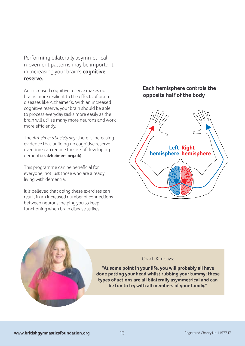Performing bilaterally asymmetrical movement patterns may be important in increasing your brain's **cognitive reserve.**

An increased cognitive reserve makes our brains more resilient to the efects of brain diseases like Alzheimer's. With an increased cognitive reserve, your brain should be able to process everyday tasks more easily as the brain will utilise many more neurons and work more efficiently.

The *Alzheimer's Society* say; there is increasing evidence that building up cognitive reserve over time can reduce the risk of developing dementia (**alzheimers.org.uk**).

This programme can be benefcial for everyone, not just those who are already living with dementia.

It is believed that doing these exercises can result in an increased number of connections between neurons; helping you to keep functioning when brain disease strikes.

#### **Each hemisphere controls the opposite half of the body**





#### Coach Kim says:

**"At some point in your life, you will probably all have done patting your head whilst rubbing your tummy; these types of actions are all bilaterally asymmetrical and can be fun to try with all members of your family."**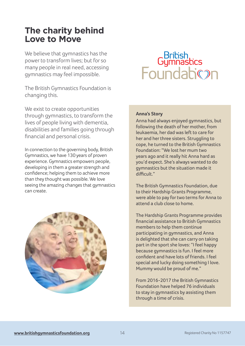## **The charity behind Love to Move**

We believe that gymnastics has the power to transform lives; but for so many people in real need, accessing gymnastics may feel impossible.

The British Gymnastics Foundation is changing this.

We exist to create opportunities through gymnastics, to transform the lives of people living with dementia, disabilities and families going through fnancial and personal crisis.

In connection to the governing body, British Gymnastics, we have 130 years of proven experience. Gymnastics empowers people, developing in them a greater strength and confdence; helping them to achieve more than they thought was possible. We love seeing the amazing changes that gymnastics can create.



## British<br>Foundabion

#### **Anna's Story**

Anna had always enjoyed gymnastics, but following the death of her mother, from leukaemia, her dad was left to care for her and her three sisters. Struggling to cope, he turned to the British Gymnastics Foundation: "We lost her mum two years ago and it really hit Anna hard as you'd expect. She's always wanted to do gymnastics but the situation made it difficult."

The British Gymnastics Foundation, due to their Hardship Grants Programme, were able to pay for two terms for Anna to attend a club close to home.

The Hardship Grants Programme provides fnancial assistance to British Gymnastics members to help them continue participating in gymnastics, and Anna is delighted that she can carry on taking part in the sport she loves: "I feel happy because gymnastics is fun. I feel more confdent and have lots of friends. I feel special and lucky doing something I love. Mummy would be proud of me."

From 2016-2017 the British Gymnastics Foundation have helped 76 individuals to stay in gymnastics by assisting them through a time of crisis.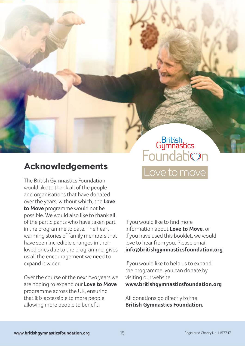## Bribish<br>Gymnastics bymnashcs<br>Foundabion Love to move

## **Acknowledgements**

The British Gymnastics Foundation would like to thank all of the people and organisations that have donated over the years; without which, the **Love to Move** programme would not be possible. We would also like to thank all of the participants who have taken part in the programme to date. The heartwarming stories of family members that have seen incredible changes in their loved ones due to the programme, gives us all the encouragement we need to expand it wider.

Over the course of the next two years we are hoping to expand our **Love to Move** programme across the UK, ensuring that it is accessible to more people, allowing more people to beneft.

If you would like to fnd more information about **Love to Move**, or if you have used this booklet, we would love to hear from you. Please email **info@britishgymnasticsfoundation.org**

If you would like to help us to expand the programme, you can donate by visiting our website **www.britishgymnasticsfoundation.org**

All donations go directly to the **British Gymnastics Foundation.**